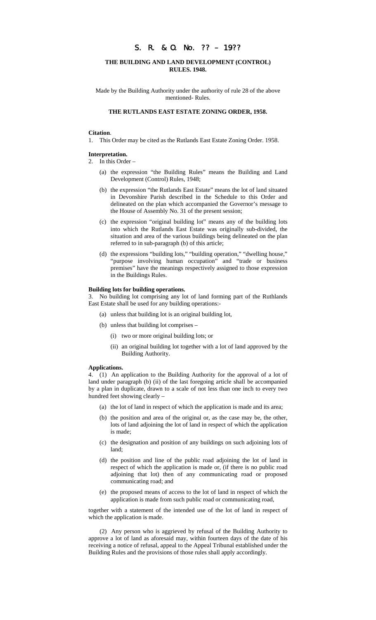# S. R. & O. No. ?? – 19??

# **THE BUILDING AND LAND DEVELOPMENT (CONTROL) RULES. 1948.**

Made by the Building Authority under the authority of rule 28 of the above mentioned- Rules.

### **THE RUTLANDS EAST ESTATE ZONING ORDER, 1958.**

#### **Citation**.

1. This Order may be cited as the Rutlands East Estate Zoning Order. 1958.

## **Interpretation.**

2. In this Order –

- (a) the expression "the Building Rules" means the Building and Land Development (Control) Rules, 1948;
- (b) the expression "the Rutlands East Estate" means the lot of land situated in Devonshire Parish described in the Schedule to this Order and delineated on the plan which accompanied the Governor's message to the House of Assembly No. 31 of the present session;
- (c) the expression "original building lot" means any of the building lots into which the Rutlands East Estate was originally sub-divided, the situation and area of the various buildings being delineated on the plan referred to in sub-paragraph (b) of this article;
- (d) the expressions "building lots," "building operation," "dwelling house," "purpose involving human occupation" and "trade or business premises" have the meanings respectively assigned to those expression in the Buildings Rules.

#### **Building lots for building operations.**

3. No building lot comprising any lot of land forming part of the Ruthlands East Estate shall be used for any building operations:-

- (a) unless that building lot is an original building lot,
- (b) unless that building lot comprises
	- (i) two or more original building lots; or
	- (ii) an original building lot together with a lot of land approved by the Building Authority.

#### **Applications.**

4. (1) An application to the Building Authority for the approval of a lot of land under paragraph (b) (ii) of the last foregoing article shall be accompanied by a plan in duplicate, drawn to a scale of not less than one inch to every two hundred feet showing clearly –

- (a) the lot of land in respect of which the application is made and its area;
- (b) the position and area of the original or, as the case may be, the other, lots of land adjoining the lot of land in respect of which the application is made;
- (c) the designation and position of any buildings on such adjoining lots of land;
- (d) the position and line of the public road adjoining the lot of land in respect of which the application is made or, (if there is no public road adjoining that lot) then of any communicating road or proposed communicating road; and
- (e) the proposed means of access to the lot of land in respect of which the application is made from such public road or communicating road,

together with a statement of the intended use of the lot of land in respect of which the application is made.

(2) Any person who is aggrieved by refusal of the Building Authority to approve a lot of land as aforesaid may, within fourteen days of the date of his receiving a notice of refusal, appeal to the Appeal Tribunal established under the Building Rules and the provisions of those rules shall apply accordingly.